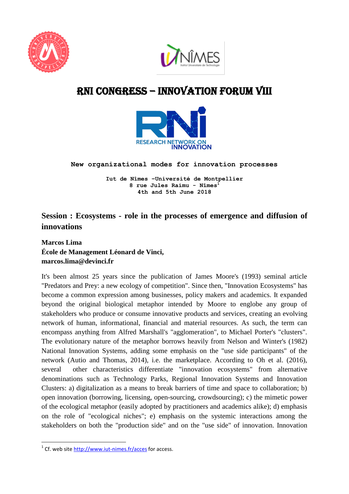



# RNI CONGRESS – Innovation Forum VIII



**New organizational modes for innovation processes** 

**Iut de Nîmes –Université de Montpellier 8 rue Jules Raimu - Nîmes<sup>1</sup> 4th and 5th June 2018**

# **Session : Ecosystems - role in the processes of emergence and diffusion of innovations**

**Marcos Lima École de Management Léonard de Vinci, marcos.lima@devinci.fr**

It's been almost 25 years since the publication of James Moore's (1993) seminal article "Predators and Prey: a new ecology of competition". Since then, "Innovation Ecosystems" has become a common expression among businesses, policy makers and academics. It expanded beyond the original biological metaphor intended by Moore to englobe any group of stakeholders who produce or consume innovative products and services, creating an evolving network of human, informational, financial and material resources. As such, the term can encompass anything from Alfred Marshall's "agglomeration", to Michael Porter's "clusters". The evolutionary nature of the metaphor borrows heavily from Nelson and Winter's (1982) National Innovation Systems, adding some emphasis on the "use side participants" of the network (Autio and Thomas, 2014), i.e. the marketplace. According to Oh et al. (2016), several other characteristics differentiate "innovation ecosystems" from alternative denominations such as Technology Parks, Regional Innovation Systems and Innovation Clusters: a) digitalization as a means to break barriers of time and space to collaboration; b) open innovation (borrowing, licensing, open-sourcing, crowdsourcing); c) the mimetic power of the ecological metaphor (easily adopted by practitioners and academics alike); d) emphasis on the role of "ecological niches"; e) emphasis on the systemic interactions among the stakeholders on both the "production side" and on the "use side" of innovation. Innovation

 1 Cf. web site<http://www.iut-nimes.fr/acces> for access.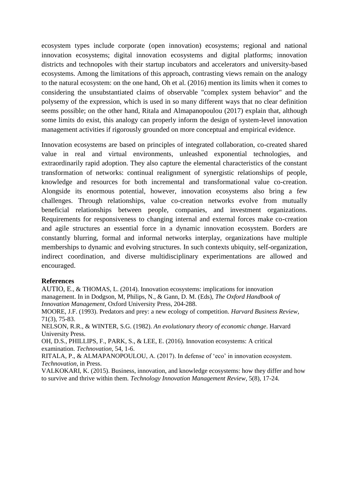ecosystem types include corporate (open innovation) ecosystems; regional and national innovation ecosystems; digital innovation ecosystems and digital platforms; innovation districts and technopoles with their startup incubators and accelerators and university-based ecosystems. Among the limitations of this approach, contrasting views remain on the analogy to the natural ecosystem: on the one hand, Oh et al. (2016) mention its limits when it comes to considering the unsubstantiated claims of observable "complex system behavior" and the polysemy of the expression, which is used in so many different ways that no clear definition seems possible; on the other hand, Ritala and Almapanopoulou (2017) explain that, although some limits do exist, this analogy can properly inform the design of system-level innovation management activities if rigorously grounded on more conceptual and empirical evidence.

Innovation ecosystems are based on principles of integrated collaboration, co-created shared value in real and virtual environments, unleashed exponential technologies, and extraordinarily rapid adoption. They also capture the elemental characteristics of the constant transformation of networks: continual realignment of synergistic relationships of people, knowledge and resources for both incremental and transformational value co-creation. Alongside its enormous potential, however, innovation ecosystems also bring a few challenges. Through relationships, value co-creation networks evolve from mutually beneficial relationships between people, companies, and investment organizations. Requirements for responsiveness to changing internal and external forces make co-creation and agile structures an essential force in a dynamic innovation ecosystem. Borders are constantly blurring, formal and informal networks interplay, organizations have multiple memberships to dynamic and evolving structures. In such contexts ubiquity, self-organization, indirect coordination, and diverse multidisciplinary experimentations are allowed and encouraged.

#### **References**

AUTIO, E., & THOMAS, L. (2014). Innovation ecosystems: implications for innovation management. In in Dodgson, M, Philips, N., & Gann, D. M. (Eds), *The Oxford Handbook of Innovation Management*, Oxford University Press, 204-288.

MOORE, J.F. (1993). Predators and prey: a new ecology of competition. *Harvard Business Review*, 71(3), 75-83.

NELSON, R.R., & WINTER, S.G. (1982). *An evolutionary theory of economic change*. Harvard University Press.

OH, D.S., PHILLIPS, F., PARK, S., & LEE, E. (2016). Innovation ecosystems: A critical examination. *Technovation*, 54, 1-6.

RITALA, P., & ALMAPANOPOULOU, A. (2017). In defense of 'eco' in innovation ecosystem. *Technovation*, in Press.

VALKOKARI, K. (2015). Business, innovation, and knowledge ecosystems: how they differ and how to survive and thrive within them. *Technology Innovation Management Review*, 5(8), 17-24.